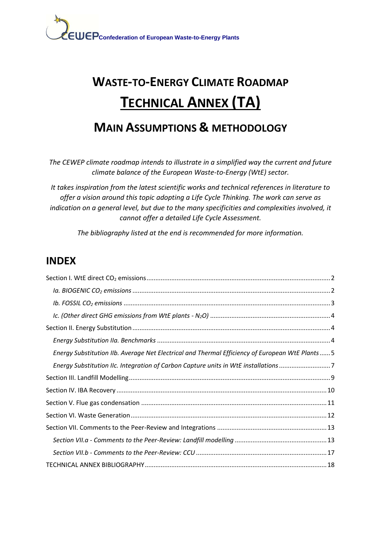### **WASTE-TO-ENERGY CLIMATE ROADMAP TECHNICAL ANNEX (TA)**

### **MAIN ASSUMPTIONS & METHODOLOGY**

*The CEWEP climate roadmap intends to illustrate in a simplified way the current and future climate balance of the European Waste-to-Energy (WtE) sector.*

*It takes inspiration from the latest scientific works and technical references in literature to offer a vision around this topic adopting a Life Cycle Thinking. The work can serve as indication on a general level, but due to the many specificities and complexities involved, it cannot offer a detailed Life Cycle Assessment.*

*The bibliography listed at the end is recommended for more information.*

### **INDEX**

| Energy Substitution IIb. Average Net Electrical and Thermal Efficiency of European WtE Plants 5 |
|-------------------------------------------------------------------------------------------------|
| Energy Substitution IIc. Integration of Carbon Capture units in WtE installations               |
|                                                                                                 |
|                                                                                                 |
|                                                                                                 |
|                                                                                                 |
|                                                                                                 |
|                                                                                                 |
|                                                                                                 |
|                                                                                                 |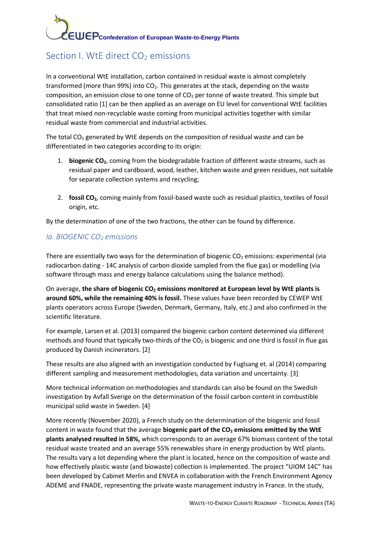### <span id="page-1-0"></span>Section I. WtE direct  $CO<sub>2</sub>$  emissions

In a conventional WtE installation, carbon contained in residual waste is almost completely transformed (more than 99%) into  $CO<sub>2</sub>$ . This generates at the stack, depending on the waste composition, an emission close to one tonne of  $CO<sub>2</sub>$  per tonne of waste treated. This simple but consolidated ratio [1] can be then applied as an average on EU level for conventional WtE facilities that treat mixed non-recyclable waste coming from municipal activities together with similar residual waste from commercial and industrial activities.

The total  $CO<sub>2</sub>$  generated by WtE depends on the composition of residual waste and can be differentiated in two categories according to its origin:

- 1. **biogenic CO2**, coming from the biodegradable fraction of different waste streams, such as residual paper and cardboard, wood, leather, kitchen waste and green residues, not suitable for separate collection systems and recycling;
- 2. **fossil CO2**, coming mainly from fossil-based waste such as residual plastics, textiles of fossil origin, etc.

By the determination of one of the two fractions, the other can be found by difference.

#### <span id="page-1-1"></span>*Ia. BIOGENIC CO<sup>2</sup> emissions*

There are essentially two ways for the determination of biogenic  $CO<sub>2</sub>$  emissions: experimental (via radiocarbon dating - 14C analysis of carbon dioxide sampled from the flue gas) or modelling (via software through mass and energy balance calculations using the balance method).

On average, **the share of biogenic CO<sup>2</sup> emissions monitored at European level by WtE plants is around 60%, while the remaining 40% is fossil.** These values have been recorded by CEWEP WtE plants operators across Europe (Sweden, Denmark, Germany, Italy, etc.) and also confirmed in the scientific literature.

For example, Larsen et al. (2013) compared the biogenic carbon content determined via different methods and found that typically two-thirds of the  $CO<sub>2</sub>$  is biogenic and one third is fossil in flue gas produced by Danish incinerators. [2]

These results are also aligned with an investigation conducted by Fuglsang et. al (2014) comparing different sampling and measurement methodologies, data variation and uncertainty. [3]

More technical information on methodologies and standards can also be found on the Swedish investigation by Avfall Sverige on the determination of the fossil carbon content in combustible municipal solid waste in Sweden. [4]

More recently (November 2020), a French study on the determination of the biogenic and fossil content in waste found that the average **biogenic part of the CO<sup>2</sup> emissions emitted by the WtE plants analysed resulted in 58%,** which corresponds to an average 67% biomass content of the total residual waste treated and an average 55% renewables share in energy production by WtE plants. The results vary a lot depending where the plant is located, hence on the composition of waste and how effectively plastic waste (and biowaste) collection is implemented. The project "UIOM 14C" has been developed by Cabinet Merlin and ENVEA in collaboration with the French Environment Agency ADEME and FNADE, representing the private waste management industry in France. In the study,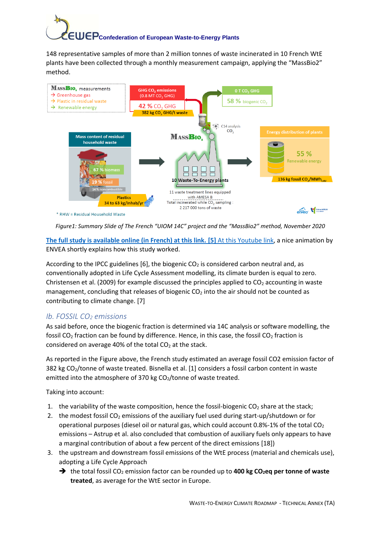## $\mathbf{C}\mathbf{C}$   $\mathbf{C}\mathbf{C}$   $\mathbf{C}$   $\mathbf{C}$   $\mathbf{C}$   $\mathbf{C}$   $\mathbf{C}$   $\mathbf{C}$   $\mathbf{C}$   $\mathbf{C}$   $\mathbf{C}$   $\mathbf{C}$   $\mathbf{C}$   $\mathbf{C}$   $\mathbf{C}$   $\mathbf{C}$   $\mathbf{C}$   $\mathbf{C}$   $\mathbf{C}$   $\mathbf{C}$   $\mathbf{C}$   $\mathbf{C}$   $\mathbf{C}$   $\mathbf{$

148 representative samples of more than 2 million tonnes of waste incinerated in 10 French WtE plants have been collected through a monthly measurement campaign, applying the "MassBio2" method.



*Figure1: Summary Slide of The French "UIOM 14C" project and the "MassBio2" method, November 2020*

**[The full study is available online \(in French\) at this link.](https://www.ademe.fr/determination-contenus-biogene-fossile-ordures-menageres-residuelles-dun-csr-a-partir-dune-analyse-14c-co2-gaz-post-combustion) [5]** [At this Youtube link,](https://www.youtube.com/watch?v=uH8WYD_e0UM&t=159s) a nice animation by ENVEA shortly explains how this study worked.

According to the IPCC guidelines [6], the biogenic  $CO<sub>2</sub>$  is considered carbon neutral and, as conventionally adopted in Life Cycle Assessment modelling, its climate burden is equal to zero. Christensen et al. (2009) for example discussed the principles applied to  $CO<sub>2</sub>$  accounting in waste management, concluding that releases of biogenic  $CO<sub>2</sub>$  into the air should not be counted as contributing to climate change. [7]

#### <span id="page-2-0"></span>*Ib. FOSSIL CO<sup>2</sup> emissions*

As said before, once the biogenic fraction is determined via 14C analysis or software modelling, the fossil CO<sub>2</sub> fraction can be found by difference. Hence, in this case, the fossil CO<sub>2</sub> fraction is considered on average 40% of the total  $CO<sub>2</sub>$  at the stack.

As reported in the Figure above, the French study estimated an average fossil CO2 emission factor of 382 kg CO<sub>2</sub>/tonne of waste treated. Bisnella et al. [1] considers a fossil carbon content in waste emitted into the atmosphere of 370 kg  $CO<sub>2</sub>/$ tonne of waste treated.

Taking into account:

- 1. the variability of the waste composition, hence the fossil-biogenic  $CO<sub>2</sub>$  share at the stack;
- 2. the modest fossil  $CO<sub>2</sub>$  emissions of the auxiliary fuel used during start-up/shutdown or for operational purposes (diesel oil or natural gas, which could account  $0.8\%$ -1% of the total CO<sub>2</sub> emissions – Astrup et al. also concluded that combustion of auxiliary fuels only appears to have a marginal contribution of about a few percent of the direct emissions [18])
- 3. the upstream and downstream fossil emissions of the WtE process (material and chemicals use), adopting a Life Cycle Approach
	- ➔ the total fossil CO<sup>2</sup> emission factor can be rounded up to **400 kg CO2eq per tonne of waste treated**, as average for the WtE sector in Europe.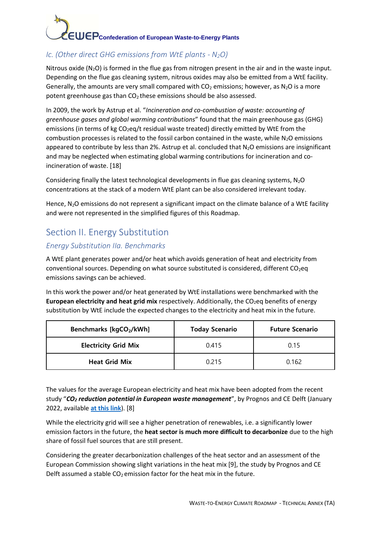#### <span id="page-3-0"></span>*Ic. (Other direct GHG emissions from WtE plants - N2O)*

Nitrous oxide ( $N_2O$ ) is formed in the flue gas from nitrogen present in the air and in the waste input. Depending on the flue gas cleaning system, nitrous oxides may also be emitted from a WtE facility. Generally, the amounts are very small compared with  $CO<sub>2</sub>$  emissions; however, as N<sub>2</sub>O is a more potent greenhouse gas than  $CO<sub>2</sub>$  these emissions should be also assessed.

In 2009, the work by Astrup et al. "*Incineration and co-combustion of waste: accounting of greenhouse gases and global warming contributions*" found that the main greenhouse gas (GHG) emissions (in terms of kg CO<sub>2</sub>eq/t residual waste treated) directly emitted by WtE from the combustion processes is related to the fossil carbon contained in the waste, while  $N_2O$  emissions appeared to contribute by less than 2%. Astrup et al. concluded that  $N_2O$  emissions are insignificant and may be neglected when estimating global warming contributions for incineration and coincineration of waste. [18]

Considering finally the latest technological developments in flue gas cleaning systems, N<sub>2</sub>O concentrations at the stack of a modern WtE plant can be also considered irrelevant today.

Hence,  $N_2O$  emissions do not represent a significant impact on the climate balance of a WtE facility and were not represented in the simplified figures of this Roadmap.

### <span id="page-3-1"></span>Section II. Energy Substitution

#### <span id="page-3-2"></span>*Energy Substitution IIa. Benchmarks*

A WtE plant generates power and/or heat which avoids generation of heat and electricity from conventional sources. Depending on what source substituted is considered, different  $CO<sub>2</sub>$ eq emissions savings can be achieved.

In this work the power and/or heat generated by WtE installations were benchmarked with the **European electricity and heat grid mix** respectively. Additionally, the CO<sub>2</sub>eq benefits of energy substitution by WtE include the expected changes to the electricity and heat mix in the future.

| Benchmarks [kgCO <sub>2</sub> /kWh] | <b>Today Scenario</b> | <b>Future Scenario</b> |  |  |  |
|-------------------------------------|-----------------------|------------------------|--|--|--|
| <b>Electricity Grid Mix</b>         | 0.415                 | 0.15                   |  |  |  |
| <b>Heat Grid Mix</b>                | 0.215                 | 0.162                  |  |  |  |

The values for the average European electricity and heat mix have been adopted from the recent study "*CO<sup>2</sup> reduction potential in European waste management*", by Prognos and CE Delft (January 2022, available **[at this link](https://ce.nl/wp-content/uploads/2022/02/CE_Delft_Prognos_210169_CO2_reduction_potential_European_waste_mngt_FINAL.pdf)**). [8]

While the electricity grid will see a higher penetration of renewables, i.e. a significantly lower emission factors in the future, the **heat sector is much more difficult to decarbonize** due to the high share of fossil fuel sources that are still present.

Considering the greater decarbonization challenges of the heat sector and an assessment of the European Commission showing slight variations in the heat mix [9], the study by Prognos and CE Delft assumed a stable  $CO<sub>2</sub>$  emission factor for the heat mix in the future.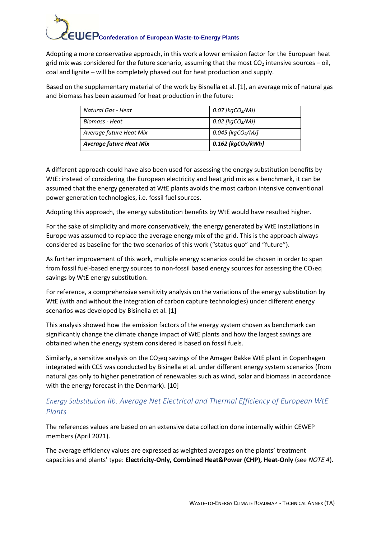Adopting a more conservative approach, in this work a lower emission factor for the European heat grid mix was considered for the future scenario, assuming that the most  $CO<sub>2</sub>$  intensive sources – oil, coal and lignite – will be completely phased out for heat production and supply.

Based on the supplementary material of the work by Bisnella et al. [1], an average mix of natural gas and biomass has been assumed for heat production in the future:

| <b>Average future Heat Mix</b> | $0.162$ [kgCO <sub>2</sub> /kWh] |
|--------------------------------|----------------------------------|
| Average future Heat Mix        | $0.045$ [kgCO <sub>2</sub> /MJ]  |
| Biomass - Heat                 | $0.02$ [kgCO <sub>2</sub> /MJ]   |
| Natural Gas - Heat             | $0.07$ [kgCO <sub>2</sub> /MJ]   |

A different approach could have also been used for assessing the energy substitution benefits by WtE: instead of considering the European electricity and heat grid mix as a benchmark, it can be assumed that the energy generated at WtE plants avoids the most carbon intensive conventional power generation technologies, i.e. fossil fuel sources.

Adopting this approach, the energy substitution benefits by WtE would have resulted higher.

For the sake of simplicity and more conservatively, the energy generated by WtE installations in Europe was assumed to replace the average energy mix of the grid. This is the approach always considered as baseline for the two scenarios of this work ("status quo" and "future").

As further improvement of this work, multiple energy scenarios could be chosen in order to span from fossil fuel-based energy sources to non-fossil based energy sources for assessing the  $CO<sub>2</sub>$ eq savings by WtE energy substitution.

For reference, a comprehensive sensitivity analysis on the variations of the energy substitution by WtE (with and without the integration of carbon capture technologies) under different energy scenarios was developed by Bisinella et al. [1]

This analysis showed how the emission factors of the energy system chosen as benchmark can significantly change the climate change impact of WtE plants and how the largest savings are obtained when the energy system considered is based on fossil fuels.

Similarly, a sensitive analysis on the CO<sub>2</sub>eq savings of the Amager Bakke WtE plant in Copenhagen integrated with CCS was conducted by Bisinella et al. under different energy system scenarios (from natural gas only to higher penetration of renewables such as wind, solar and biomass in accordance with the energy forecast in the Denmark). [10]

#### <span id="page-4-0"></span>*Energy Substitution IIb. Average Net Electrical and Thermal Efficiency of European WtE Plants*

The references values are based on an extensive data collection done internally within CEWEP members (April 2021).

The average efficiency values are expressed as weighted averages on the plants' treatment capacities and plants' type: **Electricity-Only, Combined Heat&Power (CHP), Heat-Only** (see *NOTE 4*).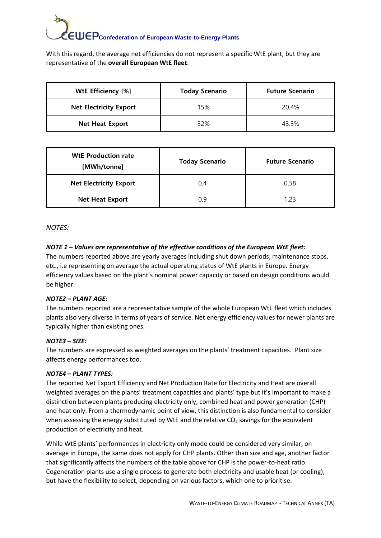With this regard, the average net efficiencies do not represent a specific WtE plant, but they are representative of the **overall European WtE fleet**:

| <b>WtE Efficiency [%]</b>     | <b>Today Scenario</b> | <b>Future Scenario</b> |  |  |  |
|-------------------------------|-----------------------|------------------------|--|--|--|
| <b>Net Electricity Export</b> | 15%                   | 20.4%                  |  |  |  |
| <b>Net Heat Export</b>        | 32%                   | 43.3%                  |  |  |  |

| <b>WtE Production rate</b><br>[MWh/tonne] | <b>Today Scenario</b> | <b>Future Scenario</b> |  |  |  |
|-------------------------------------------|-----------------------|------------------------|--|--|--|
| <b>Net Electricity Export</b>             | 0.4                   | 0.58                   |  |  |  |
| <b>Net Heat Export</b>                    | 0.9                   | 1 23                   |  |  |  |

#### *NOTES:*

#### *NOTE 1 – Values are representative of the effective conditions of the European WtE fleet:*

The numbers reported above are yearly averages including shut down periods, maintenance stops, etc., i.e representing on average the actual operating status of WtE plants in Europe. Energy efficiency values based on the plant's nominal power capacity or based on design conditions would be higher.

#### *NOTE2 – PLANT AGE:*

The numbers reported are a representative sample of the whole European WtE fleet which includes plants also very diverse in terms of years of service. Net energy efficiency values for newer plants are typically higher than existing ones.

#### *NOTE3 – SIZE:*

The numbers are expressed as weighted averages on the plants' treatment capacities. Plant size affects energy performances too.

#### *NOTE4 – PLANT TYPES:*

The reported Net Export Efficiency and Net Production Rate for Electricity and Heat are overall weighted averages on the plants' treatment capacities and plants' type but it's important to make a distinction between plants producing electricity only, combined heat and power generation (CHP) and heat only. From a thermodynamic point of view, this distinction is also fundamental to consider when assessing the energy substituted by WtE and the relative  $CO<sub>2</sub>$  savings for the equivalent production of electricity and heat.

While WtE plants' performances in electricity only mode could be considered very similar, on average in Europe, the same does not apply for CHP plants. Other than size and age, another factor that significantly affects the numbers of the table above for CHP is the power-to-heat ratio. Cogeneration plants use a single process to generate both electricity and usable heat (or cooling), but have the flexibility to select, depending on various factors, which one to prioritise.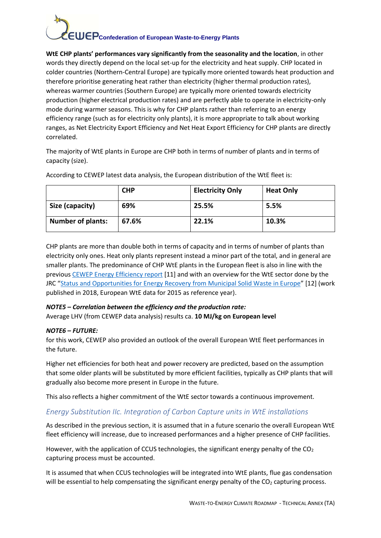**WtE CHP plants' performances vary significantly from the seasonality and the location**, in other words they directly depend on the local set-up for the electricity and heat supply. CHP located in colder countries (Northern-Central Europe) are typically more oriented towards heat production and therefore prioritise generating heat rather than electricity (higher thermal production rates), whereas warmer countries (Southern Europe) are typically more oriented towards electricity production (higher electrical production rates) and are perfectly able to operate in electricity-only mode during warmer seasons. This is why for CHP plants rather than referring to an energy efficiency range (such as for electricity only plants), it is more appropriate to talk about working ranges, as Net Electricity Export Efficiency and Net Heat Export Efficiency for CHP plants are directly correlated.

The majority of WtE plants in Europe are CHP both in terms of number of plants and in terms of capacity (size).

|                          | <b>CHP</b> | <b>Electricity Only</b> | <b>Heat Only</b> |
|--------------------------|------------|-------------------------|------------------|
| Size (capacity)          | 69%        | 25.5%                   | 5.5%             |
| <b>Number of plants:</b> | 67.6%      | 22.1%                   | 10.3%            |

According to CEWEP latest data analysis, the European distribution of the WtE fleet is:

CHP plants are more than double both in terms of capacity and in terms of number of plants than electricity only ones. Heat only plants represent instead a minor part of the total, and in general are smaller plants. The predominance of CHP WtE plants in the European fleet is also in line with the previous [CEWEP Energy Efficiency report](https://www.cewep.eu/wp-content/uploads/2017/10/1069_13_01_15_cewep_energy_report_iii.pdf) [11] and with an overview for the WtE sector done by the JRC "[Status and Opportunities for Energy Recovery from Municipal Solid Waste in Europe](https://link.springer.com/article/10.1007/s12649-018-0297-7)" [12] (work published in 2018, European WtE data for 2015 as reference year).

#### *NOTE5 – Correlation between the efficiency and the production rate:*

Average LHV (from CEWEP data analysis) results ca. **10 MJ/kg on European level**

#### *NOTE6 – FUTURE:*

for this work, CEWEP also provided an outlook of the overall European WtE fleet performances in the future.

Higher net efficiencies for both heat and power recovery are predicted, based on the assumption that some older plants will be substituted by more efficient facilities, typically as CHP plants that will gradually also become more present in Europe in the future.

This also reflects a higher commitment of the WtE sector towards a continuous improvement.

#### <span id="page-6-0"></span>*Energy Substitution IIc. Integration of Carbon Capture units in WtE installations*

As described in the previous section, it is assumed that in a future scenario the overall European WtE fleet efficiency will increase, due to increased performances and a higher presence of CHP facilities.

However, with the application of CCUS technologies, the significant energy penalty of the  $CO<sub>2</sub>$ capturing process must be accounted.

It is assumed that when CCUS technologies will be integrated into WtE plants, flue gas condensation will be essential to help compensating the significant energy penalty of the  $CO<sub>2</sub>$  capturing process.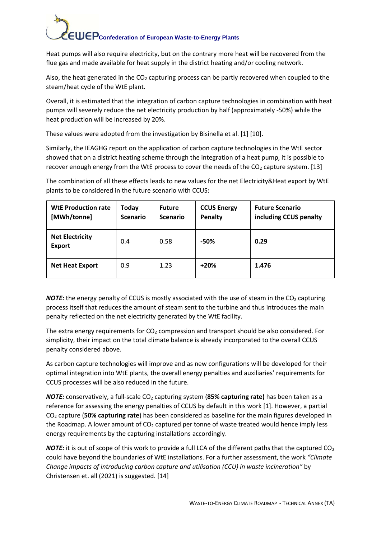Heat pumps will also require electricity, but on the contrary more heat will be recovered from the flue gas and made available for heat supply in the district heating and/or cooling network.

Also, the heat generated in the  $CO<sub>2</sub>$  capturing process can be partly recovered when coupled to the steam/heat cycle of the WtE plant.

Overall, it is estimated that the integration of carbon capture technologies in combination with heat pumps will severely reduce the net electricity production by half (approximately -50%) while the heat production will be increased by 20%.

These values were adopted from the investigation by Bisinella et al. [1] [10].

Similarly, the IEAGHG report on the application of carbon capture technologies in the WtE sector showed that on a district heating scheme through the integration of a heat pump, it is possible to recover enough energy from the WtE process to cover the needs of the  $CO<sub>2</sub>$  capture system. [13]

The combination of all these effects leads to new values for the net Electricity&Heat export by WtE plants to be considered in the future scenario with CCUS:

| <b>WtE Production rate</b><br>[MWh/tonne] | <b>Today</b><br><b>Scenario</b> | <b>Future</b><br><b>Scenario</b> | <b>CCUS Energy</b><br>Penalty | <b>Future Scenario</b><br>including CCUS penalty |  |  |
|-------------------------------------------|---------------------------------|----------------------------------|-------------------------------|--------------------------------------------------|--|--|
| <b>Net Electricity</b><br><b>Export</b>   | 0.4                             | 0.58                             | $-50%$                        | 0.29                                             |  |  |
| <b>Net Heat Export</b>                    | 0.9                             | 1.23                             | $+20%$                        | 1.476                                            |  |  |

**NOTE:** the energy penalty of CCUS is mostly associated with the use of steam in the CO<sub>2</sub> capturing process itself that reduces the amount of steam sent to the turbine and thus introduces the main penalty reflected on the net electricity generated by the WtE facility.

The extra energy requirements for  $CO<sub>2</sub>$  compression and transport should be also considered. For simplicity, their impact on the total climate balance is already incorporated to the overall CCUS penalty considered above.

As carbon capture technologies will improve and as new configurations will be developed for their optimal integration into WtE plants, the overall energy penalties and auxiliaries' requirements for CCUS processes will be also reduced in the future.

**NOTE:** conservatively, a full-scale CO<sub>2</sub> capturing system (85% capturing rate) has been taken as a reference for assessing the energy penalties of CCUS by default in this work [1]. However, a partial CO<sup>2</sup> capture (**50% capturing rate**) has been considered as baseline for the main figures developed in the Roadmap. A lower amount of  $CO<sub>2</sub>$  captured per tonne of waste treated would hence imply less energy requirements by the capturing installations accordingly.

*NOTE:* it is out of scope of this work to provide a full LCA of the different paths that the captured CO<sub>2</sub> could have beyond the boundaries of WtE installations. For a further assessment, the work *"Climate Change impacts of introducing carbon capture and utilisation (CCU) in waste incineration"* by Christensen et. all (2021) is suggested. [14]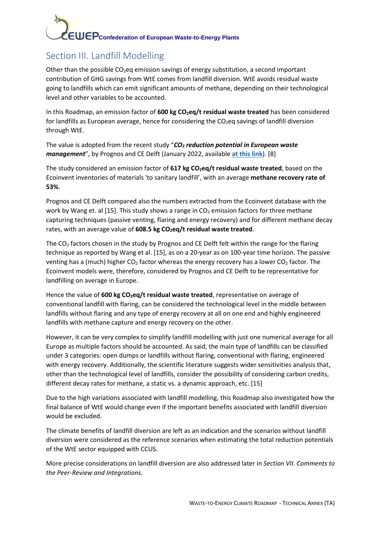### <span id="page-8-0"></span>Section III. Landfill Modelling

Other than the possible CO2eq emission savings of energy substitution, a second important contribution of GHG savings from WtE comes from landfill diversion. WtE avoids residual waste going to landfills which can emit significant amounts of methane, depending on their technological level and other variables to be accounted.

In this Roadmap, an emission factor of **600 kg CO2eq/t residual waste treated** has been considered for landfills as European average, hence for considering the  $CO<sub>2</sub>$ eq savings of landfill diversion through WtE.

The value is adopted from the recent study "*CO<sup>2</sup> reduction potential in European waste management*", by Prognos and CE Delft (January 2022, available **[at this link](https://ce.nl/wp-content/uploads/2022/02/CE_Delft_Prognos_210169_CO2_reduction_potential_European_waste_mngt_FINAL.pdf)**). [8]

The study considered an emission factor of **617 kg CO2eq/t residual waste treated**, based on the Ecoinvent inventories of materials 'to sanitary landfill', with an average **methane recovery rate of 53%**.

Prognos and CE Delft compared also the numbers extracted from the Ecoinvent database with the work by Wang et. al [15]. This study shows a range in  $CO<sub>2</sub>$  emission factors for three methane capturing techniques (passive venting, flaring and energy recovery) and for different methane decay rates, with an average value of **608.5 kg CO2eq/t residual waste treated**.

The CO<sub>2</sub> factors chosen in the study by Prognos and CE Delft felt within the range for the flaring technique as reported by Wang et al. [15], as on a 20-year as on 100-year time horizon. The passive venting has a (much) higher  $CO<sub>2</sub>$  factor whereas the energy recovery has a lower  $CO<sub>2</sub>$  factor. The Ecoinvent models were, therefore, considered by Prognos and CE Delft to be representative for landfilling on average in Europe.

Hence the value of **600 kg CO2eq/t residual waste treated**, representative on average of conventional landfill with flaring, can be considered the technological level in the middle between landfills without flaring and any type of energy recovery at all on one end and highly engineered landfills with methane capture and energy recovery on the other.

However, it can be very complex to simplify landfill modelling with just one numerical average for all Europe as multiple factors should be accounted. As said, the main type of landfills can be classified under 3 categories: open dumps or landfills without flaring, conventional with flaring, engineered with energy recovery. Additionally, the scientific literature suggests wider sensitivities analysis that, other than the technological level of landfills, consider the possibility of considering carbon credits, different decay rates for methane, a static vs. a dynamic approach, etc. [15]

Due to the high variations associated with landfill modelling, this Roadmap also investigated how the final balance of WtE would change even if the important benefits associated with landfill diversion would be excluded.

The climate benefits of landfill diversion are left as an indication and the scenarios without landfill diversion were considered as the reference scenarios when estimating the total reduction potentials of the WtE sector equipped with CCUS.

More precise considerations on landfill diversion are also addressed later in *Section VII. Comments to the Peer-Review and Integrations.*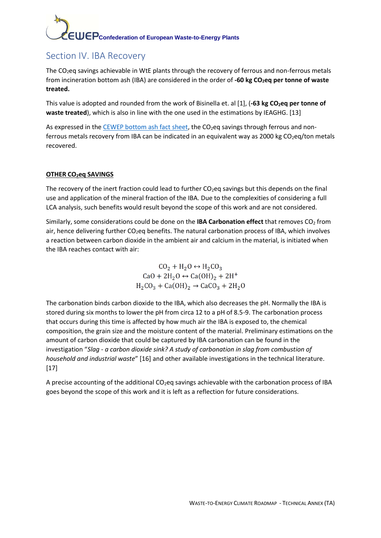## $\boldsymbol{\epsilon}$ W $\boldsymbol{\epsilon}$ P $\boldsymbol{\epsilon}$ onfederation of European Waste-to-Energy Plants

### <span id="page-9-0"></span>Section IV. IBA Recovery

The  $CO<sub>2</sub>$ eq savings achievable in WtE plants through the recovery of ferrous and non-ferrous metals from incineration bottom ash (IBA) are considered in the order of **-60 kg CO2eq per tonne of waste treated.**

This value is adopted and rounded from the work of Bisinella et. al [1], (**-63 kg CO2eq per tonne of waste treated**), which is also in line with the one used in the estimations by IEAGHG. [13]

As expressed in the [CEWEP bottom ash fact sheet,](https://www.cewep.eu/wp-content/uploads/2017/09/FINAL-Bottom-Ash-factsheet.pdf) the  $CO<sub>2</sub>$ eq savings through ferrous and nonferrous metals recovery from IBA can be indicated in an equivalent way as 2000 kg  $CO<sub>2</sub>eq/ton$  metals recovered.

#### **OTHER CO2eq SAVINGS**

The recovery of the inert fraction could lead to further  $CO_2$ eq savings but this depends on the final use and application of the mineral fraction of the IBA. Due to the complexities of considering a full LCA analysis, such benefits would result beyond the scope of this work and are not considered.

Similarly, some considerations could be done on the **IBA Carbonation effect** that removes CO<sub>2</sub> from air, hence delivering further CO<sub>2</sub>eq benefits. The natural carbonation process of IBA, which involves a reaction between carbon dioxide in the ambient air and calcium in the material, is initiated when the IBA reaches contact with air:

> $CO<sub>2</sub> + H<sub>2</sub>O \leftrightarrow H<sub>2</sub>CO<sub>3</sub>$  $CaO + 2H_2O \leftrightarrow Ca(OH)_2 + 2H^+$  $H_2CO_3 + Ca(OH)_2 \rightarrow CaCO_3 + 2H_2O$

The carbonation binds carbon dioxide to the IBA, which also decreases the pH. Normally the IBA is stored during six months to lower the pH from circa 12 to a pH of 8.5-9. The carbonation process that occurs during this time is affected by how much air the IBA is exposed to, the chemical composition, the grain size and the moisture content of the material. Preliminary estimations on the amount of carbon dioxide that could be captured by IBA carbonation can be found in the investigation "*Slag - a carbon dioxide sink? A study of carbonation in slag from combustion of household and industrial waste*" [16] and other available investigations in the technical literature. [17]

A precise accounting of the additional CO<sub>2</sub>eq savings achievable with the carbonation process of IBA goes beyond the scope of this work and it is left as a reflection for future considerations.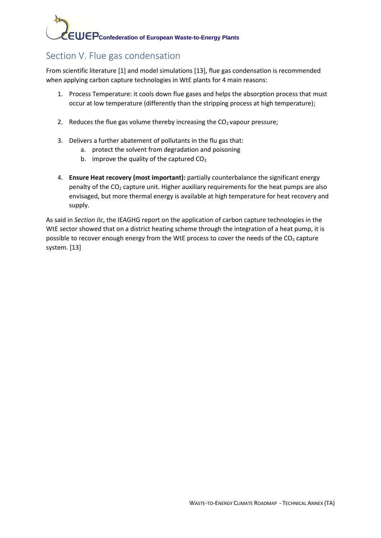### <span id="page-10-0"></span>Section V. Flue gas condensation

From scientific literature [1] and model simulations [13], flue gas condensation is recommended when applying carbon capture technologies in WtE plants for 4 main reasons:

- 1. Process Temperature: it cools down flue gases and helps the absorption process that must occur at low temperature (differently than the stripping process at high temperature);
- 2. Reduces the flue gas volume thereby increasing the  $CO<sub>2</sub>$  vapour pressure;
- 3. Delivers a further abatement of pollutants in the flu gas that:
	- a. protect the solvent from degradation and poisoning
	- b. improve the quality of the captured  $CO<sub>2</sub>$
- 4. **Ensure Heat recovery (most important):** partially counterbalance the significant energy penalty of the CO<sup>2</sup> capture unit. Higher auxiliary requirements for the heat pumps are also envisaged, but more thermal energy is available at high temperature for heat recovery and supply.

As said in *Section IIc*, the IEAGHG report on the application of carbon capture technologies in the WtE sector showed that on a district heating scheme through the integration of a heat pump, it is possible to recover enough energy from the WtE process to cover the needs of the  $CO<sub>2</sub>$  capture system. [13]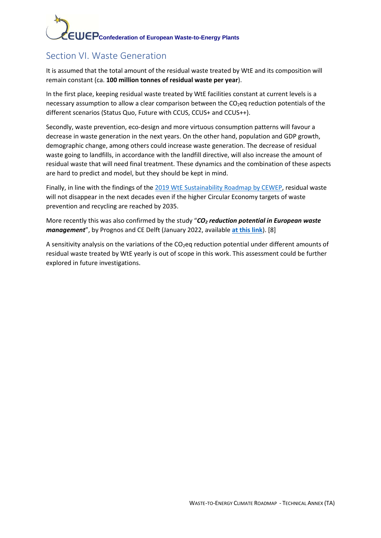### <span id="page-11-0"></span>Section VI. Waste Generation

It is assumed that the total amount of the residual waste treated by WtE and its composition will remain constant (ca. **100 million tonnes of residual waste per year**).

In the first place, keeping residual waste treated by WtE facilities constant at current levels is a necessary assumption to allow a clear comparison between the CO<sub>2</sub>eq reduction potentials of the different scenarios (Status Quo, Future with CCUS, CCUS+ and CCUS++).

Secondly, waste prevention, eco-design and more virtuous consumption patterns will favour a decrease in waste generation in the next years. On the other hand, population and GDP growth, demographic change, among others could increase waste generation. The decrease of residual waste going to landfills, in accordance with the landfill directive, will also increase the amount of residual waste that will need final treatment. These dynamics and the combination of these aspects are hard to predict and model, but they should be kept in mind.

Finally, in line with the findings of the 2019 [WtE Sustainability](https://www.cewep.eu/circular-economy-calculator/) Roadmap by CEWEP, residual waste will not disappear in the next decades even if the higher Circular Economy targets of waste prevention and recycling are reached by 2035.

More recently this was also confirmed by the study "*CO<sup>2</sup> reduction potential in European waste management*", by Prognos and CE Delft (January 2022, available **[at this link](https://ce.nl/wp-content/uploads/2022/02/CE_Delft_Prognos_210169_CO2_reduction_potential_European_waste_mngt_FINAL.pdf)**). [8]

A sensitivity analysis on the variations of the CO<sub>2</sub>eq reduction potential under different amounts of residual waste treated by WtE yearly is out of scope in this work. This assessment could be further explored in future investigations.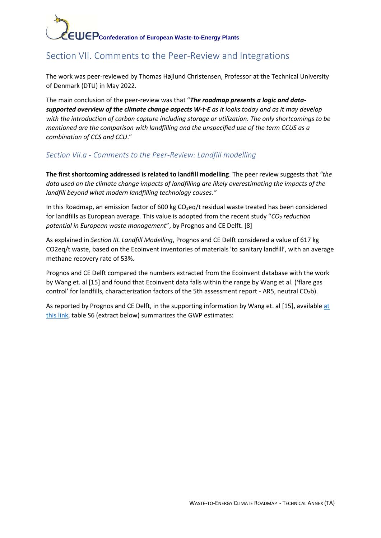#### <span id="page-12-0"></span>Section VII. Comments to the Peer-Review and Integrations

The work was peer-reviewed by Thomas Højlund Christensen, Professor at the Technical University of Denmark (DTU) in May 2022.

The main conclusion of the peer-review was that "*The roadmap presents a logic and datasupported overview of the climate change aspects W-t-E as it looks today and as it may develop with the introduction of carbon capture including storage or utilization*. *The only shortcomings to be mentioned are the comparison with landfilling and the unspecified use of the term CCUS as a combination of CCS and CCU*."

#### <span id="page-12-1"></span>*Section VII.a - Comments to the Peer-Review: Landfill modelling*

**The first shortcoming addressed is related to landfill modelling**. The peer review suggests that *"the data used on the climate change impacts of landfilling are likely overestimating the impacts of the landfill beyond what modern landfilling technology causes."*

In this Roadmap, an emission factor of 600 kg  $CO<sub>2</sub>$ eq/t residual waste treated has been considered for landfills as European average. This value is adopted from the recent study "*CO<sup>2</sup> reduction potential in European waste management*", by Prognos and CE Delft. [8]

As explained in *Section III. Landfill Modelling*, Prognos and CE Delft considered a value of 617 kg CO2eq/t waste, based on the Ecoinvent inventories of materials 'to sanitary landfill', with an average methane recovery rate of 53%.

Prognos and CE Delft compared the numbers extracted from the Ecoinvent database with the work by Wang et. al [15] and found that Ecoinvent data falls within the range by Wang et al. ('flare gas control' for landfills, characterization factors of the 5th assessment report - AR5, neutral  $CO<sub>2</sub>$ b).

As reported by Prognos and CE Delft, in the supporting information by Wang et. al [15], available at [this link,](https://pubs.acs.org/doi/suppl/10.1021/acs.est.9b04066/suppl_file/es9b04066_si_001.pdf) table S6 (extract below) summarizes the GWP estimates: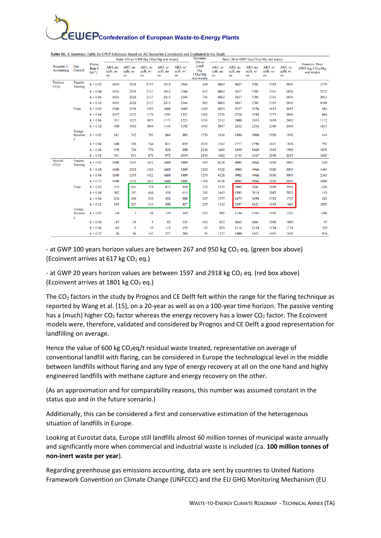|                                 |                        |                                | rapic porti rominima y taote tot critti thominico trabea on chi pecimitor compaetea ana tribuece in ule biaa<br>Static 100-yr GWP (kg CO <sub>2</sub> e/Mg wet waste) |                           |                           | Dynamic<br>Static 20-yr GWP (kg CO <sub>2</sub> e/Mg wet waste)<br>$100 - vr$ |                           |                                                         |                                               |                              |                           |                           |                           |                                                    |
|---------------------------------|------------------------|--------------------------------|-----------------------------------------------------------------------------------------------------------------------------------------------------------------------|---------------------------|---------------------------|-------------------------------------------------------------------------------|---------------------------|---------------------------------------------------------|-----------------------------------------------|------------------------------|---------------------------|---------------------------|---------------------------|----------------------------------------------------|
| <b>Biogenic C</b><br>Accounting | Gas<br>Control         | Decay<br>Rate k<br>$(vr^{-1})$ | AR4, no<br>ccfb, no<br>OX                                                                                                                                             | AR5, no<br>eefb, no<br>OX | AR5, no<br>ccfb, w/<br>OX | AR5, w/<br>ccfb, no<br>OX                                                     | AR5, w/<br>ccfb, w/<br>OX | <b>GWP</b><br>(kg<br>CO <sub>2</sub> e/Mg<br>wet waste) | AR4, no<br>ccfb, no<br>$\overline{\text{OX}}$ | $AR5$ , no<br>ccfb, no<br>OX | AR5. no<br>ccfb, w/<br>OX | AR5, w/<br>ccfb, no<br>OX | AR5, w/<br>ccfb, w/<br>OX | Dynamic 20-yr<br>$GWP$ (kg $CO2e/Mg$<br>wet waste) |
| Positive<br>CO <sub>2</sub> b   | Passive<br>Venting     | $k = 0.02$                     | 1835                                                                                                                                                                  | 2028                      | 2157                      | 2415                                                                          | 2544                      | 445                                                     | 4863                                          | 5637                         | 5701                      | 5765                      | 5830                      | 1279                                               |
|                                 |                        | $k = 0.04$                     | 1835                                                                                                                                                                  | 2028                      | 2157                      | 2415                                                                          | 2544                      | 657                                                     | 4863                                          | 5637                         | 5701                      | 5765                      | 5830                      | 2225                                               |
|                                 |                        | $k = 0.06$                     | 1835                                                                                                                                                                  | 2028                      | 2157                      | 2415                                                                          | 2544                      | 745                                                     | 4863                                          | 5637                         | 5701                      | 5765                      | 5830                      | 2933                                               |
|                                 |                        | $k = 0.12$                     | 1835                                                                                                                                                                  | 2028                      | 2157                      | 2415                                                                          | 2544                      | 885                                                     | 4863                                          | 5637                         | 5701                      | 5765                      | 5830                      | 4189                                               |
|                                 | Flare                  | $k = 0.02$                     | 1260                                                                                                                                                                  | 1376                      | 1453                      | 1608                                                                          | 1685                      | 1013                                                    | 3074                                          | 3537                         | 3576                      | 3615                      | 3653                      | 484                                                |
|                                 |                        | $k = 0.04$                     | 1037                                                                                                                                                                  | 1122                      | 1179                      | 1293                                                                          | 1351                      | 1062                                                    | 2378                                          | 2720                         | 2749                      | 2777                      | 2806                      | 864                                                |
|                                 |                        | $k = 0.06$                     | 951                                                                                                                                                                   | 1025                      | 1075                      | 1173                                                                          | 1223                      | 1031                                                    | 2112                                          | 2408                         | 2433                      | 2458                      | 2482                      | 1172                                               |
|                                 |                        | $k = 0.12$                     | 930                                                                                                                                                                   | 1002                      | 1049                      | 1144                                                                          | 1192                      | 1045                                                    | 2047                                          | 2332                         | 2356                      | 2380                      | 2404                      | 1813                                               |
|                                 | Energy<br>Recover<br>у | $k = 0.02$                     | 681                                                                                                                                                                   | 742                       | 783                       | 864                                                                           | 905                       | 1739                                                    | 1636                                          | 1880                         | 1900                      | 1920                      | 1940                      | 444                                                |
|                                 |                        | $k = 0.04$                     | 648                                                                                                                                                                   | 706                       | 744                       | 821                                                                           | 859                       | 2071                                                    | 1547                                          | 1777                         | 1796                      | 1815                      | 1834                      | 792                                                |
|                                 |                        | $k = 0.06$                     | 670                                                                                                                                                                   | 730                       | 770                       | 850                                                                           | 890                       | 2148                                                    | 1609                                          | 1849                         | 1869                      | 1889                      | 1909                      | 1078                                               |
|                                 |                        | $k = 0.12$                     | 761                                                                                                                                                                   | 831                       | 878                       | 972                                                                           | 1019                      | 2190                                                    | 1862                                          | 2143                         | 2167                      | 2190                      | 2213                      | 1692                                               |
| Neutral<br>CO <sub>2</sub> b    | Passive<br>Venting     | $k = 0.02$                     | 1100                                                                                                                                                                  | 1293                      | 1422                      | 1680                                                                          | 1809                      | 913                                                     | 4128                                          | 4902                         | 4966                      | 5030                      | 5095                      | 530                                                |
|                                 |                        | $k = 0.04$                     | 1100                                                                                                                                                                  | 1293                      | 1422                      | 1680                                                                          | 1809                      | 1214                                                    | 4128                                          | 4902                         | 4966                      | 5030                      | 5095                      | 1464                                               |
|                                 |                        | $k = 0.06$                     | 1100                                                                                                                                                                  | 1293                      | 1422                      | 1680                                                                          | 1809                      | 1279                                                    | 4128                                          | 4902                         | 4966                      | 5030                      | 5095                      | 2163                                               |
|                                 |                        | $k = 0.12$                     | 1100                                                                                                                                                                  | 1293                      | 1422                      | 1680                                                                          | 1809                      | 1308                                                    | 4128                                          | 4902                         | 4966                      | 5030                      | 5095                      | 3400                                               |
|                                 | Flare                  | $k = 0.02$                     | 525                                                                                                                                                                   | 641                       | 718                       | 873                                                                           | 950                       | 239                                                     | 2339                                          | 2802                         | 2841                      | 2880                      | 2918                      | $-256$                                             |
|                                 |                        | $k = 0.04$                     | 302                                                                                                                                                                   | 387                       | 444                       | 558                                                                           | 615                       | 280                                                     | 1643                                          | 1985                         | 2014                      | 2042                      | 2071                      | 119                                                |
|                                 |                        | $k = 0.06$                     | 216                                                                                                                                                                   | 290                       | 340                       | 438                                                                           | 488                       | 247                                                     | 1377                                          | 1673                         | 1698                      | 1723                      | 1747                      | 423                                                |
|                                 |                        | $k = 0.12$                     | 195                                                                                                                                                                   | 267                       | 314                       | 409                                                                           | 457                       | 255                                                     | 1312                                          | 1597                         | 1621                      | 1645                      | 1669                      | 1055                                               |
|                                 | Energy<br>Recover<br>у | $k = 0.02$                     | $-54$                                                                                                                                                                 | 7                         | 48                        | 129                                                                           | 169                       | $-311$                                                  | 901                                           | 1144                         | 1165                      | 1185                      | 1205                      | $-296$                                             |
|                                 |                        | $k = 0.04$                     | $-87$                                                                                                                                                                 | $-29$                     | 9                         | 85                                                                            | 124                       | $-112$                                                  | 812                                           | 1042                         | 1061                      | 1080                      | 1099                      | 47                                                 |
|                                 |                        | $k = 0.06$                     | $-65$                                                                                                                                                                 | $-5$                      | 35                        | 115                                                                           | 155                       | $-31$                                                   | 874                                           | 1114                         | 1134                      | 1154                      | 1174                      | 329                                                |
|                                 |                        | $k = 0.12$                     | 26                                                                                                                                                                    | 96                        | 143                       | 237                                                                           | 284                       | 95                                                      | 1127                                          | 1408                         | 1431                      | 1455                      | 1478                      | 934                                                |
|                                 |                        |                                |                                                                                                                                                                       |                           |                           |                                                                               |                           |                                                         |                                               |                              |                           |                           |                           |                                                    |

Table S6, A Summary Table for GWP Estimates Based on All Scenarios Considered and Evaluated in the Study

- at GWP 100 years horizon values are between 267 and 950 kg CO<sub>2</sub> eq. (green box above) (Ecoinvent arrives at 617 kg  $CO<sub>2</sub>$  eq.)

- at GWP 20 years horizon values are between 1597 and 2918 kg CO<sub>2</sub> eq. (red box above) (Ecoinvent arrives at 1801 kg  $CO<sub>2</sub>$  eq.)

The CO<sub>2</sub> factors in the study by Prognos and CE Delft felt within the range for the flaring technique as reported by Wang et al. [15], on a 20-year as well as on a 100-year time horizon. The passive venting has a (much) higher  $CO<sub>2</sub>$  factor whereas the energy recovery has a lower  $CO<sub>2</sub>$  factor. The Ecoinvent models were, therefore, validated and considered by Prognos and CE Delft a good representation for landfilling on average.

Hence the value of 600 kg  $CO<sub>2</sub>$ eq/t residual waste treated, representative on average of conventional landfill with flaring, can be considered in Europe the technological level in the middle between landfills without flaring and any type of energy recovery at all on the one hand and highly engineered landfills with methane capture and energy recovery on the other.

(As an approximation and for comparability reasons, this number was assumed constant in the status quo and in the future scenario.)

Additionally, this can be considered a first and conservative estimation of the heterogenous situation of landfills in Europe.

Looking at Eurostat data, Europe still landfills almost 60 million tonnes of municipal waste annually and significantly more when commercial and industrial waste is included (ca. **100 million tonnes of non-inert waste per year**).

Regarding greenhouse gas emissions accounting, data are sent by countries to United Nations Framework Convention on Climate Change (UNFCCC) and the EU GHG Monitoring Mechanism (EU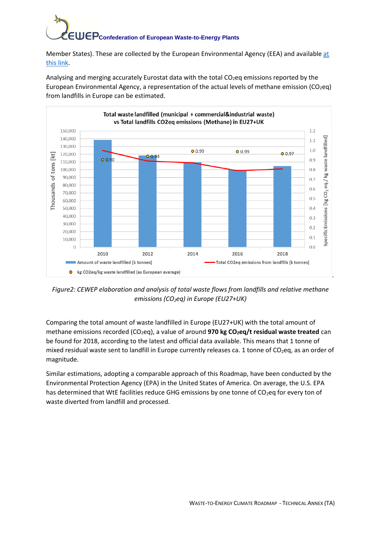Member States). These are collected by the European Environmental Agency (EEA) and availabl[e at](https://www.eea.europa.eu/data-and-maps/data/data-viewers/greenhouse-gases-viewer)  [this link.](https://www.eea.europa.eu/data-and-maps/data/data-viewers/greenhouse-gases-viewer)

Analysing and merging accurately Eurostat data with the total CO<sub>2</sub>eq emissions reported by the European Environmental Agency, a representation of the actual levels of methane emission (CO<sub>2</sub>eq) from landfills in Europe can be estimated.



*Figure2: CEWEP elaboration and analysis of total waste flows from landfills and relative methane emissions (CO2eq) in Europe (EU27+UK)*

Comparing the total amount of waste landfilled in Europe (EU27+UK) with the total amount of methane emissions recorded (CO<sub>2</sub>eq), a value of around 970 kg CO<sub>2</sub>eq/t residual waste treated can be found for 2018, according to the latest and official data available. This means that 1 tonne of mixed residual waste sent to landfill in Europe currently releases ca. 1 tonne of CO<sub>2</sub>eq, as an order of magnitude.

Similar estimations, adopting a comparable approach of this Roadmap, have been conducted by the Environmental Protection Agency (EPA) in the United States of America. On average, the U.S. EPA has determined that WtE facilities reduce GHG emissions by one tonne of  $CO<sub>2</sub>$ eq for every ton of waste diverted from landfill and processed.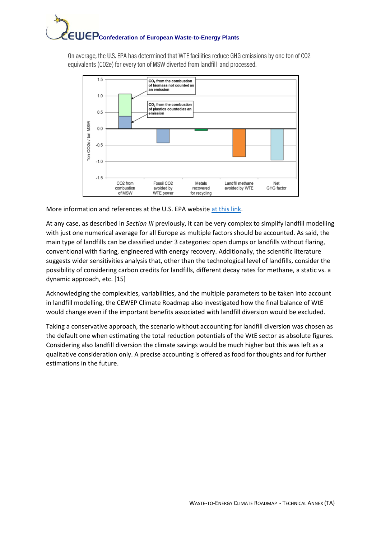On average, the U.S. EPA has determined that WTE facilities reduce GHG emissions by one ton of CO2 equivalents (CO2e) for every ton of MSW diverted from landfill and processed.



More information and references at the U.S. EPA websit[e at this link.](https://www.epa.gov/smm/energy-recovery-combustion-municipal-solid-waste-msw)

At any case, as described in *Section III* previously, it can be very complex to simplify landfill modelling with just one numerical average for all Europe as multiple factors should be accounted. As said, the main type of landfills can be classified under 3 categories: open dumps or landfills without flaring, conventional with flaring, engineered with energy recovery. Additionally, the scientific literature suggests wider sensitivities analysis that, other than the technological level of landfills, consider the possibility of considering carbon credits for landfills, different decay rates for methane, a static vs. a dynamic approach, etc. [15]

Acknowledging the complexities, variabilities, and the multiple parameters to be taken into account in landfill modelling, the CEWEP Climate Roadmap also investigated how the final balance of WtE would change even if the important benefits associated with landfill diversion would be excluded.

Taking a conservative approach, the scenario without accounting for landfill diversion was chosen as the default one when estimating the total reduction potentials of the WtE sector as absolute figures. Considering also landfill diversion the climate savings would be much higher but this was left as a qualitative consideration only. A precise accounting is offered as food for thoughts and for further estimations in the future.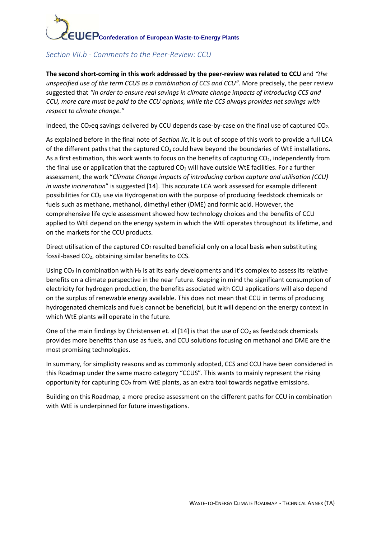#### <span id="page-16-0"></span>*Section VII.b - Comments to the Peer-Review: CCU*

**The second short-coming in this work addressed by the peer-review was related to CCU** and *"the unspecified use of the term CCUS as a combination of CCS and CCU".* More precisely, the peer review suggested that *"In order to ensure real savings in climate change impacts of introducing CCS and CCU, more care must be paid to the CCU options, while the CCS always provides net savings with respect to climate change."*

Indeed, the CO<sub>2</sub>eq savings delivered by CCU depends case-by-case on the final use of captured CO<sub>2</sub>.

As explained before in the final note of *Section IIc*, it is out of scope of this work to provide a full LCA of the different paths that the captured  $CO<sub>2</sub>$  could have beyond the boundaries of WtE installations. As a first estimation, this work wants to focus on the benefits of capturing  $CO<sub>2</sub>$ , independently from the final use or application that the captured  $CO<sub>2</sub>$  will have outside WtE facilities. For a further assessment, the work "*Climate Change impacts of introducing carbon capture and utilisation (CCU) in waste incineration*" is suggested [14]. This accurate LCA work assessed for example different possibilities for CO<sup>2</sup> use via Hydrogenation with the purpose of producing feedstock chemicals or fuels such as methane, methanol, dimethyl ether (DME) and formic acid. However, the comprehensive life cycle assessment showed how technology choices and the benefits of CCU applied to WtE depend on the energy system in which the WtE operates throughout its lifetime, and on the markets for the CCU products.

Direct utilisation of the captured  $CO<sub>2</sub>$  resulted beneficial only on a local basis when substituting fossil-based  $CO<sub>2</sub>$ , obtaining similar benefits to CCS.

Using CO<sub>2</sub> in combination with H<sub>2</sub> is at its early developments and it's complex to assess its relative benefits on a climate perspective in the near future. Keeping in mind the significant consumption of electricity for hydrogen production, the benefits associated with CCU applications will also depend on the surplus of renewable energy available. This does not mean that CCU in terms of producing hydrogenated chemicals and fuels cannot be beneficial, but it will depend on the energy context in which WtE plants will operate in the future.

One of the main findings by Christensen et. al [14] is that the use of  $CO<sub>2</sub>$  as feedstock chemicals provides more benefits than use as fuels, and CCU solutions focusing on methanol and DME are the most promising technologies.

In summary, for simplicity reasons and as commonly adopted, CCS and CCU have been considered in this Roadmap under the same macro category "CCUS". This wants to mainly represent the rising opportunity for capturing  $CO<sub>2</sub>$  from WtE plants, as an extra tool towards negative emissions.

Building on this Roadmap, a more precise assessment on the different paths for CCU in combination with WtE is underpinned for future investigations.